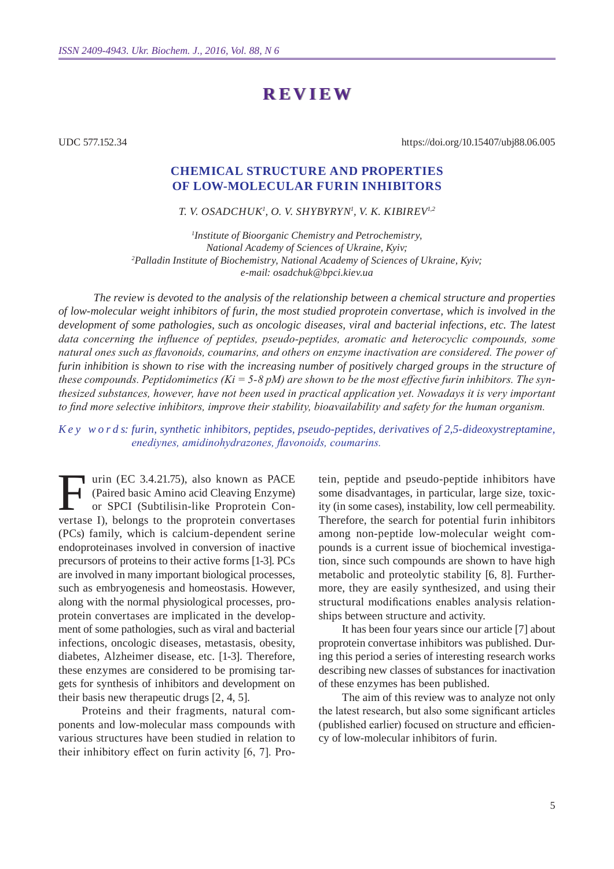# **Review**

UDC 577.152.34

https://doi.org/10.15407/ubj88.06.005

## **Chemical structure and properties of low-molecular furin inhibitors**

*T. V. Osadchuk1 , O. V. Shybyryn1 , V. K. Kibirev1,2*

*1 Institute of Bioorganic Chemistry and Petrochemistry, National Academy of Sciences of Ukraine, Kyiv; 2 Palladin Institute of Biochemistry, National Academy of Sciences of Ukraine, Kyiv; e-mail: osadchuk@bpci.kiev.ua*

*The review is devoted to the analysis of the relationship between a chemical structure and properties of low-molecular weight inhibitors of furin, the most studied proprotein convertase, which is involved in the development of some pathologies, such as oncologic diseases, viral and bacterial infections, etc. The latest data concerning the influence of peptides, pseudo-peptides, aromatic and heterocyclic compounds, some natural ones such as flavonoids, coumarins, and others on enzyme inactivation are considered. The power of*  furin inhibition is shown to rise with the increasing number of positively charged groups in the structure of *these compounds. Peptidomimetics (Ki = 5-8 pM) are shown to be the most effective furin inhibitors. The synthesized substances, however, have not been used in practical application yet. Nowadays it is very important to find more selective inhibitors, improve their stability, bioavailability and safety for the human organism.*

#### *K e y w o r d s: furin, synthetic inhibitors, peptides, pseudo-peptides, derivatives of 2,5-dideoxystreptamine, enediynes, amidinohydrazones, flavonoids, coumarins.*

U urin (EC 3.4.21.75), also known as PACE (Paired basic Amino acid Cleaving Enzyme) or SPCI (Subtilisin-like Proprotein Convertase I), belongs to the proprotein convertases (PCs) family, which is calcium-dependent serine endoproteinases involved in conversion of inactive precursors of proteins to their active forms [1-3]. PCs are involved in many important biological processes, such as embryogenesis and homeostasis. However, along with the normal physiological processes, proprotein convertases are implicated in the development of some pathologies, such as viral and bacterial infections, oncologic diseases, metastasis, obesity, diabetes, Alzheimer disease, etc. [1-3]. Therefore, these enzymes are considered to be promising targets for synthesis of inhibitors and development on their basis new therapeutic drugs [2, 4, 5].

Proteins and their fragments, natural components and low-molecular mass compounds with various structures have been studied in relation to their inhibitory effect on furin activity [6, 7]. Protein, peptide and pseudo-peptide inhibitors have some disadvantages, in particular, large size, toxicity (in some cases), instability, low cell permeability. Therefore, the search for potential furin inhibitors among non-peptide low-molecular weight compounds is a current issue of biochemical investigation, since such compounds are shown to have high metabolic and proteolytic stability [6, 8]. Furthermore, they are easily synthesized, and using their structural modifications enables analysis relationships between structure and activity.

It has been four years since our article [7] about proprotein convertase inhibitors was published. During this period a series of interesting research works describing new classes of substances for inactivation of these enzymes has been published.

The aim of this review was to analyze not only the latest research, but also some significant articles (published earlier) focused on structure and efficiency of low-molecular inhibitors of furin.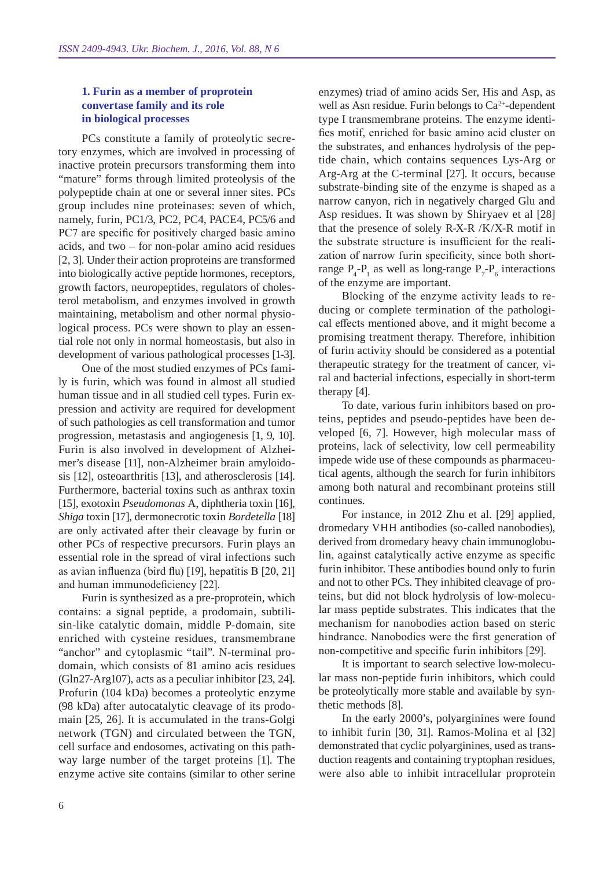### **1. Furin as a member of proprotein convertase family and its role in biological processes**

PCs constitute a family of proteolytic secretory enzymes, which are involved in processing of inactive protein precursors transforming them into "mature" forms through limited proteolysis of the polypeptide chain at one or several inner sites. PCs group includes nine proteinases: seven of which, namely, furin, PC1/3, PC2, PC4, PACE4, PC5/6 and PC7 are specific for positively charged basic amino acids, and two – for non-polar amino acid residues [2, 3]. Under their action proproteins are transformed into biologically active peptide hormones, receptors, growth factors, neuropeptides, regulators of cholesterol metabolism, and enzymes involved in growth maintaining, metabolism and other normal physiological process. PCs were shown to play an essential role not only in normal homeostasis, but also in development of various pathological processes [1-3].

One of the most studied enzymes of PCs family is furin, which was found in almost all studied human tissue and in all studied cell types. Furin expression and activity are required for development of such pathologies as cell transformation and tumor progression, metastasis and angiogenesis [1, 9, 10]. Furin is also involved in development of Alzheimer's disease [11], non-Alzheimer brain amyloidosis [12], osteoarthritis [13], and atherosclerosis [14]. Furthermore, bacterial toxins such as anthrax toxin [15], exotoxin *Pseudomonas* A, diphtheria toxin [16], *Shiga* toxin [17], dermonecrotic toxin *Bordetella* [18] are only activated after their cleavage by furin or other PCs of respective precursors. Furin plays an essential role in the spread of viral infections such as avian influenza (bird flu) [19], hepatitis B [20, 21] and human immunodeficiency [22].

Furin is synthesized as a pre-proprotein, which contains: a signal peptide, a prodomain, subtilisin-like catalytic domain, middle P-domain, site enriched with cysteine residues, transmembrane "anchor" and cytoplasmic "tail". N-terminal prodomain, which consists of 81 amino acis residues (Gln27-Arg107), acts as a peculiar inhibitor [23, 24]. Profurin (104 kDa) becomes a proteolytic enzyme (98 kDa) after autocatalytic cleavage of its prodomain [25, 26]. It is accumulated in the trans-Golgi network (TGN) and circulated between the TGN, cell surface and endosomes, activating on this pathway large number of the target proteins [1]. The enzyme active site contains (similar to other serine

enzymes) triad of amino acids Ser, His and Asp, as well as Asn residue. Furin belongs to  $Ca^{2+}$ -dependent type I transmembrane proteins. The enzyme identifies motif, enriched for basic amino acid cluster on the substrates, and enhances hydrolysis of the peptide chain, which contains sequences Lys-Arg or Arg-Arg at the C-terminal [27]. It occurs, because substrate-binding site of the enzyme is shaped as a narrow canyon, rich in negatively charged Glu and Asp residues. It was shown by Shiryaev et al [28] that the presence of solely R-X-R /K/X-R motif in the substrate structure is insufficient for the realization of narrow furin specificity, since both shortrange  $P_4$ - $P_1$  as well as long-range  $P_7$ - $P_6$  interactions of the enzyme are important.

Blocking of the enzyme activity leads to reducing or complete termination of the pathological effects mentioned above, and it might become a promising treatment therapy. Therefore, inhibition of furin activity should be considered as a potential therapeutic strategy for the treatment of cancer, viral and bacterial infections, especially in short-term therapy [4].

To date, various furin inhibitors based on proteins, peptides and pseudo-peptides have been developed [6, 7]. However, high molecular mass of proteins, lack of selectivity, low cell permeability impede wide use of these compounds as pharmaceutical agents, although the search for furin inhibitors among both natural and recombinant proteins still continues.

For instance, in 2012 Zhu et al. [29] applied, dromedary VHH antibodies (so-called nanobodies), derived from dromedary heavy chain immunoglobulin, against catalytically active enzyme as specific furin inhibitor. These antibodies bound only to furin and not to other PCs. They inhibited cleavage of proteins, but did not block hydrolysis of low-molecular mass peptide substrates. This indicates that the mechanism for nanobodies action based on steric hindrance. Nanobodies were the first generation of non-competitive and specific furin inhibitors [29].

It is important to search selective low-molecular mass non-peptide furin inhibitors, which could be proteolytically more stable and available by synthetic methods [8].

In the early 2000's, polyarginines were found to inhibit furin [30, 31]. Ramos-Molina et al [32] demonstrated that cyclic polyarginines, used as transduction reagents and containing tryptophan residues, were also able to inhibit intracellular proprotein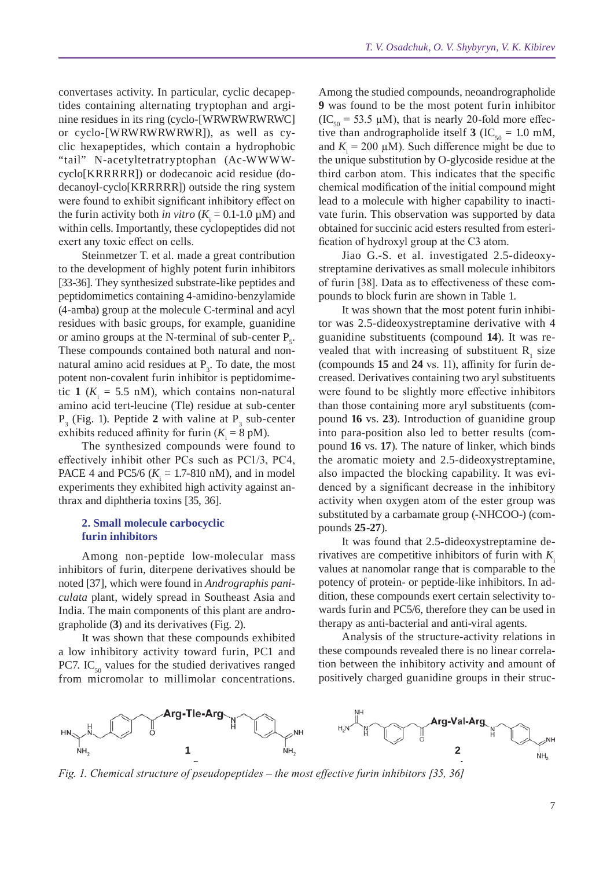convertases activity. In particular, cyclic decapeptides containing alternating tryptophan and arginine residues in its ring (cyclo-[WRWRWRWRWC] or cyclo-[WRWRWRWRWR]), as well as cyclic hexapeptides, which contain a hydrophobic "tail" N-acetyltetratryptophan (Ac-WWWWcyclo[KRRRRR]) or dodecanoic acid residue (dodecanoyl-cyclo[KRRRRR]) outside the ring system were found to exhibit significant inhibitory effect on the furin activity both *in vitro* ( $K_i = 0.1$ -1.0  $\mu$ M) and within cells. Importantly, these cyclopeptides did not exert any toxic effect on cells.

Steinmetzer T. et al. made a great contribution to the development of highly potent furin inhibitors [33-36]. They synthesized substrate-like peptides and peptidomimetics containing 4-amidino-benzylamide (4-amba) group at the molecule C-terminal and acyl residues with basic groups, for example, guanidine or amino groups at the N-terminal of sub-center  $P_s$ . These compounds contained both natural and nonnatural amino acid residues at  $P_3$ . To date, the most potent non-covalent furin inhibitor is peptidomimetic 1 ( $K_i = 5.5$  nM), which contains non-natural amino acid tert-leucine (Tle) residue at sub-center  $P_3$  (Fig. 1). Peptide 2 with valine at  $P_3$  sub-center exhibits reduced affinity for furin  $(K_i = 8 \text{ pM})$ .

The synthesized compounds were found to effectively inhibit other PCs such as PC1/3, PC4, PACE 4 and PC5/6 ( $K_i = 1.7$ -810 nM), and in model experiments they exhibited high activity against anthrax and diphtheria toxins [35, 36].

#### **2. Small molecule carbocyclic furin inhibitors**

Among non-peptide low-molecular mass inhibitors of furin, diterpene derivatives should be noted [37], which were found in *Andrographis paniculata* plant, widely spread in Southeast Asia and India. The main components of this plant are andrographolide (**3**) and its derivatives (Fig. 2).

It was shown that these compounds exhibited a low inhibitory activity toward furin, PC1 and PC7. IC<sub>50</sub> values for the studied derivatives ranged from micromolar to millimolar concentrations.

Among the studied compounds, neoandrographolide **9** was found to be the most potent furin inhibitor  $(IC_{50} = 53.5 \mu M)$ , that is nearly 20-fold more effective than andrographolide itself **3** (IC<sub>50</sub> = 1.0 mM, and  $K_i = 200 \mu M$ ). Such difference might be due to the unique substitution by O-glycoside residue at the third carbon atom. This indicates that the specific chemical modification of the initial compound might lead to a molecule with higher capability to inactivate furin. This observation was supported by data obtained for succinic acid esters resulted from esterification of hydroxyl group at the C3 atom.

Jiao G.-S. et al. investigated 2.5-dideoxystreptamine derivatives as small molecule inhibitors of furin [38]. Data as to effectiveness of these compounds to block furin are shown in Table 1.

It was shown that the most potent furin inhibitor was 2.5-dideoxystreptamine derivative with 4 guanidine substituents (compound **14**). It was revealed that with increasing of substituent  $R_1$  size (compounds **15** and **24** vs. 11), affinity for furin decreased. Derivatives containing two aryl substituents were found to be slightly more effective inhibitors than those containing more aryl substituents (compound **16** vs. **23**). Introduction of guanidine group into para-position also led to better results (compound **16** vs. **17**). The nature of linker, which binds the aromatic moiety and 2.5-dideoxystreptamine, also impacted the blocking capability. It was evidenced by a significant decrease in the inhibitory activity when oxygen atom of the ester group was substituted by a carbamate group (-NHCOO-) (compounds **25-27**).

It was found that 2.5-dideoxystreptamine derivatives are competitive inhibitors of furin with  $K_i$ values at nanomolar range that is comparable to the potency of protein- or peptide-like inhibitors. In addition, these compounds exert certain selectivity towards furin and PC5/6, therefore they can be used in therapy as anti-bacterial and anti-viral agents.

Analysis of the structure-activity relations in these compounds revealed there is no linear correlation between the inhibitory activity and amount of positively charged guanidine groups in their struc-



*Fig. 1. Chemical structure of pseudopeptides – the most effective furin inhibitors [35, 36]*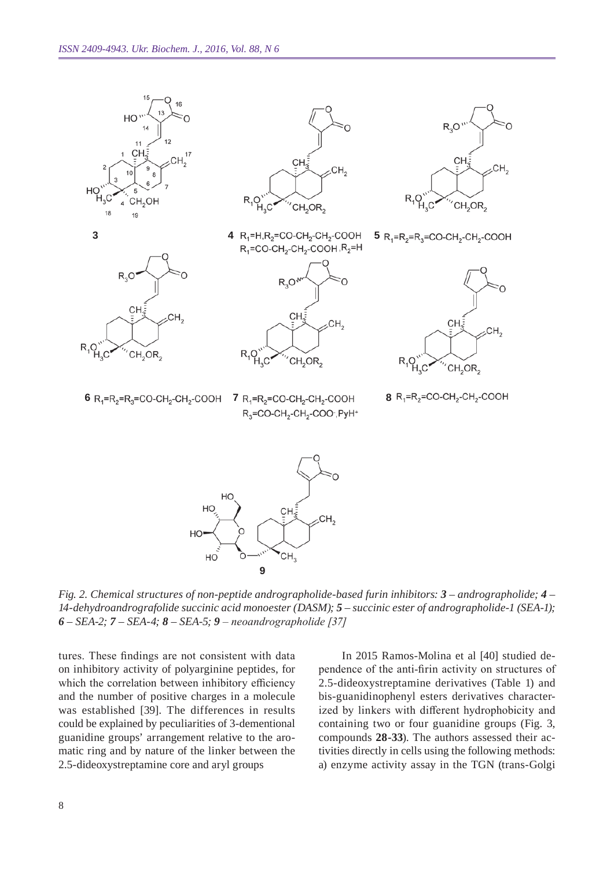

*Fig. 2. Chemical structures of non-peptide andrographolide-based furin inhibitors: 3 – andrographolide; 4 – 14-dehydroandrografolide succinic acid monoester (DA SM); 5 – succinic ester of andrographolide-1 (SEA -1); 6 – SEA -2; 7 – SEA -4; 8 – SEA -5; 9 – neoandrographolide [37]*

**9**

HO

tures. These findings are not consistent with data on inhibitory activity of polyarginine peptides, for which the correlation between inhibitory efficiency and the number of positive charges in a molecule was established [39]. The differences in results could be explained by peculiarities of 3-dementional guanidine groups' arrangement relative to the aromatic ring and by nature of the linker between the 2.5-dideoxystreptamine core and aryl groups

In 2015 Ramos-Molina et al [40] studied dependence of the anti-firin activity on structures of 2.5-dideoxystreptamine derivatives (Table 1) and bis-guanidinophenyl esters derivatives characterized by linkers with different hydrophobicity and containing two or four guanidine groups (Fig. 3, compounds **28-33**). The authors assessed their activities directly in cells using the following methods: a) enzyme activity assay in the TGN (trans-Golgi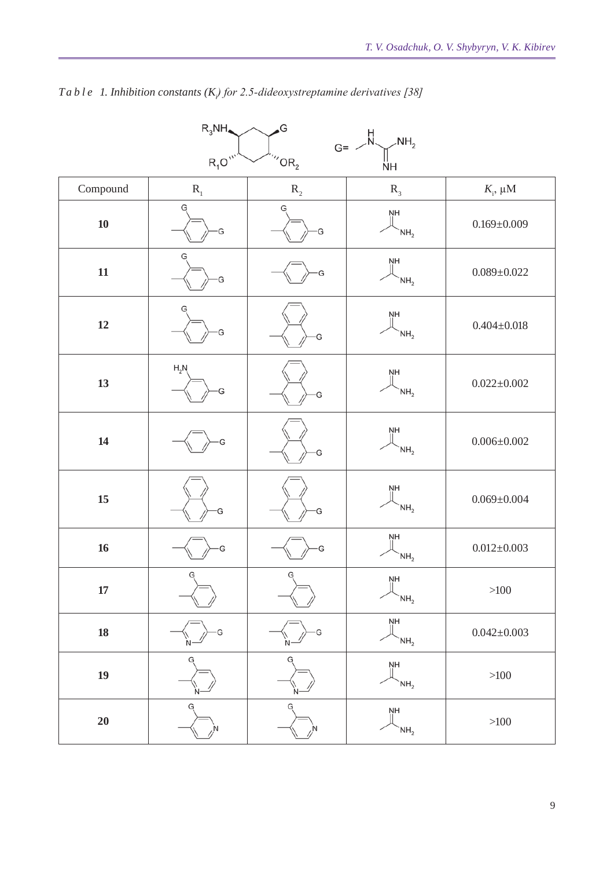| $R_3$ NH $\triangleleft$<br>,G<br>$G = \bigvee_{N} H$<br>NH <sub>2</sub> |                         |                                      |                                   |                       |  |
|--------------------------------------------------------------------------|-------------------------|--------------------------------------|-----------------------------------|-----------------------|--|
|                                                                          | $R_1O^{\prime\prime}$   |                                      |                                   |                       |  |
|                                                                          |                         | $^{\prime\prime}$ OR $_2$            | ŃH                                |                       |  |
| Compound                                                                 | $\mathbf{R}_{\text{1}}$ | $\mathbf{R}_{\scriptscriptstyle{2}}$ | $R_{3}$                           | $K$ <sub>i</sub> , μM |  |
| ${\bf 10}$                                                               | G<br>Ġ                  | G<br>G                               | ŅН<br>NH <sub>2</sub>             | $0.169 \pm 0.009$     |  |
| ${\bf 11}$                                                               | G<br>G                  | G                                    | NH<br>NH <sub>2</sub>             | $0.089 \pm 0.022$     |  |
| $12\,$                                                                   |                         | G                                    | ŅH<br>NH <sub>2</sub>             | $0.404 \pm 0.018$     |  |
| 13                                                                       | $H_2N$<br>G             |                                      | ŅΗ<br>NH <sub>2</sub>             | $0.022 \pm 0.002$     |  |
| 14                                                                       |                         | G                                    | ŅH<br>NH <sub>2</sub>             | $0.006 \pm 0.002$     |  |
| 15                                                                       | G                       | G                                    | ŅH<br>NH <sub>2</sub>             | $0.069 \pm 0.004$     |  |
| 16                                                                       | G                       | G                                    | ŅH<br>NH <sub>2</sub>             | $0.012 \pm 0.003$     |  |
| $17\phantom{.}$                                                          | G                       | G                                    | $\frac{NH}{H}$<br>NH <sub>2</sub> | $>100$                |  |
| ${\bf 18}$                                                               |                         |                                      | ŅН<br>NH <sub>2</sub>             | $0.042 \pm 0.003$     |  |
| 19                                                                       |                         |                                      | ŅН<br>NH <sub>2</sub>             | $>100$                |  |
| $20\,$                                                                   | G                       | G                                    | ŅН<br>NH <sub>2</sub>             | $>\!\!100$            |  |

# *T a b l e 1. Inhibition constants (Ki ) for 2.5-dideoxystreptamine derivatives [38]*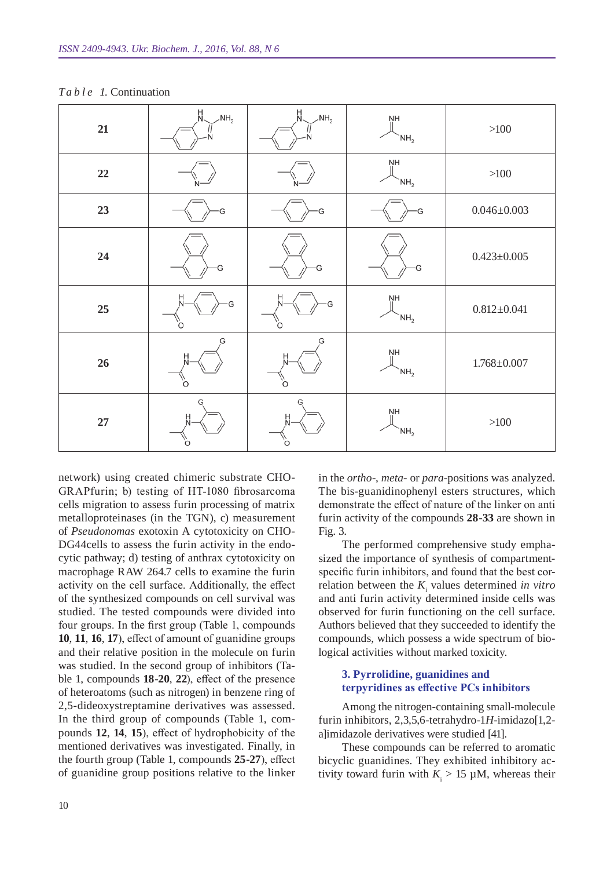| ${\bf 21}$ | H<br>N<br>$\mathcal{M}_{2}$ | H.<br>$\mathsf{NH}_2$ | ŅН<br>NH <sub>2</sub>        | $>100$            |
|------------|-----------------------------|-----------------------|------------------------------|-------------------|
| 22         |                             |                       | ŅH<br>NH <sub>2</sub>        | $>100$            |
| 23         | G                           | G                     | G                            | $0.046 \pm 0.003$ |
| 24         | G                           | G                     | G                            | $0.423 \pm 0.005$ |
| 25         | G<br>O                      | G<br>O                | ŅH<br>$\mathsf{NH}_2$        | $0.812 \pm 0.041$ |
| 26         | G<br>Ó.                     | G<br>O                | ŅH<br>NH <sub>2</sub>        | $1.768 \pm 0.007$ |
| 27         | G<br>Ω                      | G<br>벖<br>O           | <b>NH</b><br>NH <sub>2</sub> | $>100$            |

#### *T a b l e 1.* Continuation

network) using created chimeric substrate CHO-GRAPfurin; b) testing of HT-1080 fibrosarcoma cells migration to assess furin processing of matrix metalloproteinases (in the TGN), c) measurement of *Pseudonomas* exotoxin A cytotoxicity on CHO-DG44cells to assess the furin activity in the endocytic pathway; d) testing of anthrax cytotoxicity on macrophage RAW 264.7 cells to examine the furin activity on the cell surface. Additionally, the effect of the synthesized compounds on cell survival was studied. The tested compounds were divided into four groups. In the first group (Table 1, compounds **10**, **11**, **16**, **17**), effect of amount of guanidine groups and their relative position in the molecule on furin was studied. In the second group of inhibitors (Table 1, compounds **18-20**, **22**), effect of the presence of heteroatoms (such as nitrogen) in benzene ring of 2,5-dideoxystreptamine derivatives was assessed. In the third group of compounds (Table 1, compounds **12**, **14**, **15**), effect of hydrophobicity of the mentioned derivatives was investigated. Finally, in the fourth group (Table 1, compounds **25-27**), effect of guanidine group positions relative to the linker

in the *ortho*-, *meta*- or *para*-positions was analyzed. The bis-guanidinophenyl esters structures, which demonstrate the effect of nature of the linker on anti furin activity of the compounds **28-33** are shown in Fig. 3.

The performed comprehensive study emphasized the importance of synthesis of compartmentspecific furin inhibitors, and found that the best correlation between the  $K_i$  values determined *in vitro* and anti furin activity determined inside cells was observed for furin functioning on the cell surface. Authors believed that they succeeded to identify the compounds, which possess a wide spectrum of biological activities without marked toxicity.

#### **3. Pyrrolidine, guanidines and terpyridines as effective PCs inhibitors**

Among the nitrogen-containing small-molecule furin inhibitors, 2,3,5,6-tetrahydro-1*H*-imidazo[1,2 a]imidazole derivatives were studied [41].

These compounds can be referred to aromatic bicyclic guanidines. They exhibited inhibitory activity toward furin with  $K_i > 15 \mu M$ , whereas their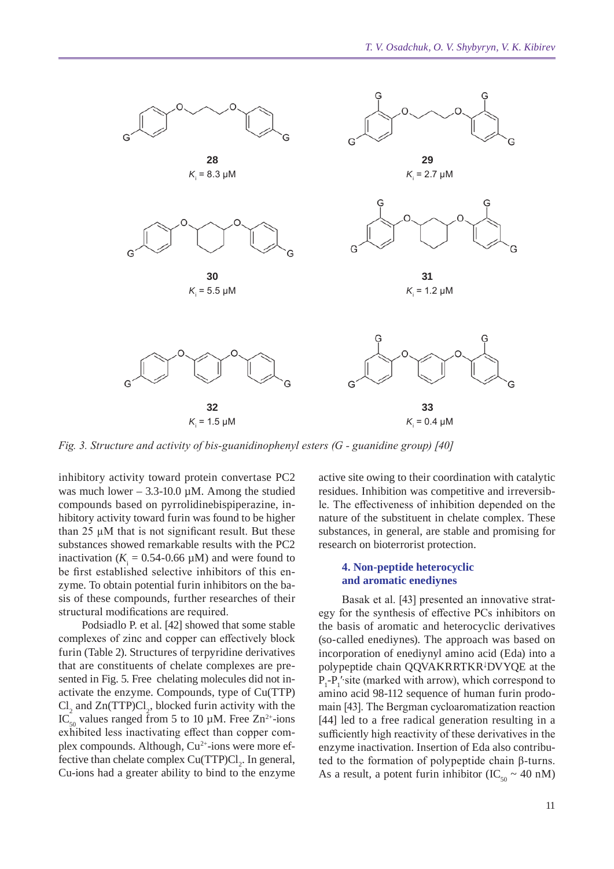

*Fig. 3. Structure and activity of bis-guanidinophenyl esters (G - guanidine group) [40]*

inhibitory activity toward protein convertase PC2 was much lower – 3.3-10.0  $\mu$ M. Among the studied compounds based on pyrrolidinebispiperazine, inhibitory activity toward furin was found to be higher than  $25 \mu M$  that is not significant result. But these substances showed remarkable results with the PC2 inactivation ( $K_i = 0.54$ -0.66  $\mu$ M) and were found to be first established selective inhibitors of this enzyme. To obtain potential furin inhibitors on the basis of these compounds, further researches of their structural modifications are required.

Podsiadlo P. et al. [42] showed that some stable complexes of zinc and copper can effectively block furin (Table 2). Structures of terpyridine derivatives that are constituents of chelate complexes are presented in Fig. 5. Free chelating molecules did not inactivate the enzyme. Compounds, type of Cu(TTP)  $\text{Cl}_2$  and  $\text{Zn(TTP)Cl}_2$ , blocked furin activity with the IC<sub>50</sub> values ranged from 5 to 10  $\mu$ M. Free Zn<sup>2+</sup>-ions exhibited less inactivating effect than copper complex compounds. Although,  $Cu^{2+}$ -ions were more effective than chelate complex  $Cu(TTP)Cl<sub>2</sub>$ . In general, Cu-ions had a greater ability to bind to the enzyme

active site owing to their coordination with catalytic residues. Inhibition was competitive and irreversible. The effectiveness of inhibition depended on the nature of the substituent in chelate complex. These substances, in general, are stable and promising for research on bioterrorist protection.

#### **4. Non-peptide heterocyclic and aromatic enediynes**

Basak et al. [43] presented an innovative strategy for the synthesis of effective PCs inhibitors on the basis of aromatic and heterocyclic derivatives (so-called enediynes). The approach was based on incorporation of enediynyl amino acid (Eda) into a polypeptide chain QQVAKRRTKR<sup>↓</sup> DVYQE at the  $P_1$ - $P_1$ ' site (marked with arrow), which correspond to amino acid 98-112 sequence of human furin prodomain [43]. The Bergman cycloaromatization reaction [44] led to a free radical generation resulting in a sufficiently high reactivity of these derivatives in the enzyme inactivation. Insertion of Eda also contributed to the formation of polypeptide chain β-turns. As a result, a potent furin inhibitor (IC<sub>50</sub> ~ 40 nM)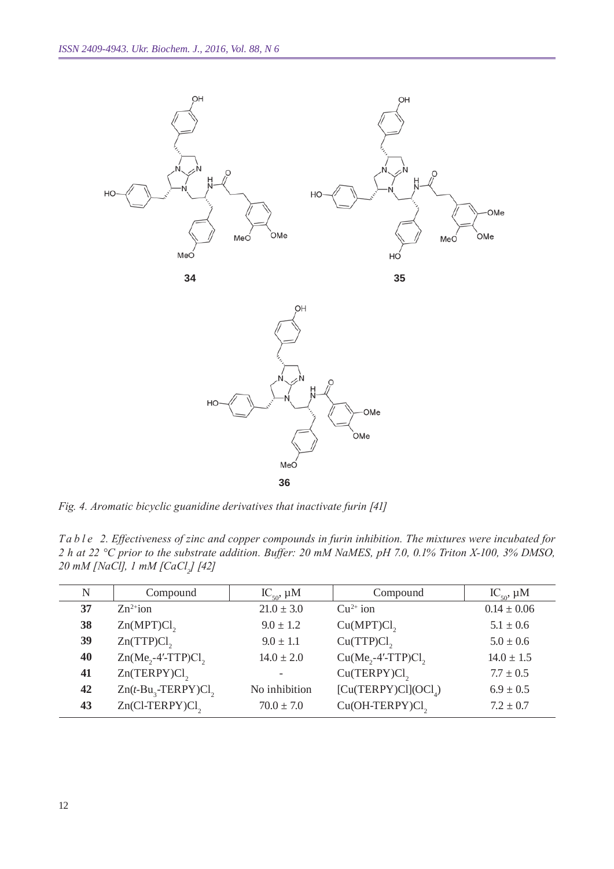

*Fig. 4. Aromatic bicyclic guanidine derivatives that inactivate furin [41]*

*T a b l e 2. Effectiveness of zinc and copper compounds in furin inhibition. The mixtures were incubated for 2 h at 22 °C prior to the substrate addition. Buffer: 20 mM NaMES, pH 7.0, 0.1% Triton X-100, 3% DMSO, 20 mM [NaCl], 1 mM [CaCl<sup>2</sup> ] [42]*

| $\mathbf N$ | Compound                       | $IC_{50}$ , $\mu$ M | Compound                         | $IC_{50}$ , $\mu$ M |
|-------------|--------------------------------|---------------------|----------------------------------|---------------------|
| 37          | $Zn^{2+}$ ion                  | $21.0 \pm 3.0$      | $Cu^{2+}$ ion                    | $0.14 \pm 0.06$     |
| 38          | Zn(MPT)Cl <sub>2</sub>         | $9.0 \pm 1.2$       | Cu(MPT)Cl <sub>2</sub>           | $5.1 \pm 0.6$       |
| 39          | Zn(TTP)Cl <sub>2</sub>         | $9.0 \pm 1.1$       | Cu(TTP)Cl <sub>2</sub>           | $5.0 \pm 0.6$       |
| 40          | $Zn(Me, -4'-TTP)Cl$ ,          | $14.0 \pm 2.0$      | $Cu(Me, -4'$ -TTP)Cl,            | $14.0 \pm 1.5$      |
| 41          | $Zn(TERPY)Cl$ ,                |                     | Cu(TERPY)Cl <sub>2</sub>         | $7.7 \pm 0.5$       |
| 42          | $Zn(t-Bu, -TERPY)Cl$ ,         | No inhibition       | [Cu(TERPY)Cl](OCl <sub>A</sub> ) | $6.9 \pm 0.5$       |
| 43          | $Zn$ (Cl-TERPY)Cl <sub>2</sub> | $70.0 \pm 7.0$      | Cu(OH-TERPY)Cl <sub>2</sub>      | $7.2 \pm 0.7$       |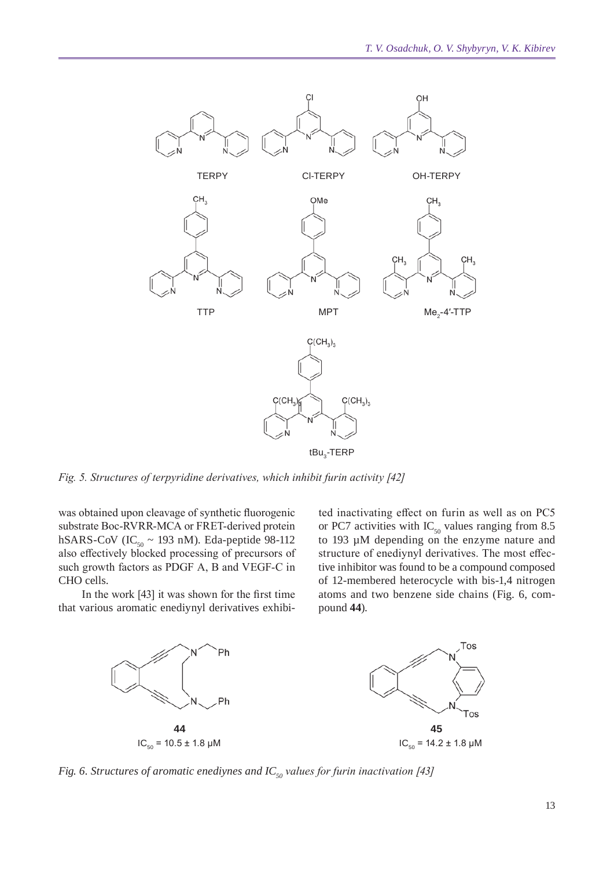

*Fig. 5. Structures of terpyridine derivatives, which inhibit furin activity [42]*

was obtained upon cleavage of synthetic fluorogenic substrate Boc-RVRR-MCA or FRET-derived protein hSARS-CoV (IC<sub>50</sub> ~ 193 nM). Eda-peptide 98-112 also effectively blocked processing of precursors of such growth factors as PDGF A, B and VEGF-C in CHO cells.

In the work [43] it was shown for the first time that various aromatic enediynyl derivatives exhibited inactivating effect on furin as well as on PC5 or PC7 activities with  $IC_{50}$  values ranging from 8.5 to 193 µM depending on the enzyme nature and structure of enediynyl derivatives. The most effective inhibitor was found to be a compound composed of 12-membered heterocycle with bis-1,4 nitrogen atoms and two benzene side chains (Fig. 6, compound **44**).



*Fig. 6. Structures of aromatic enediynes and IC<sub>50</sub> values for furin inactivation [43]*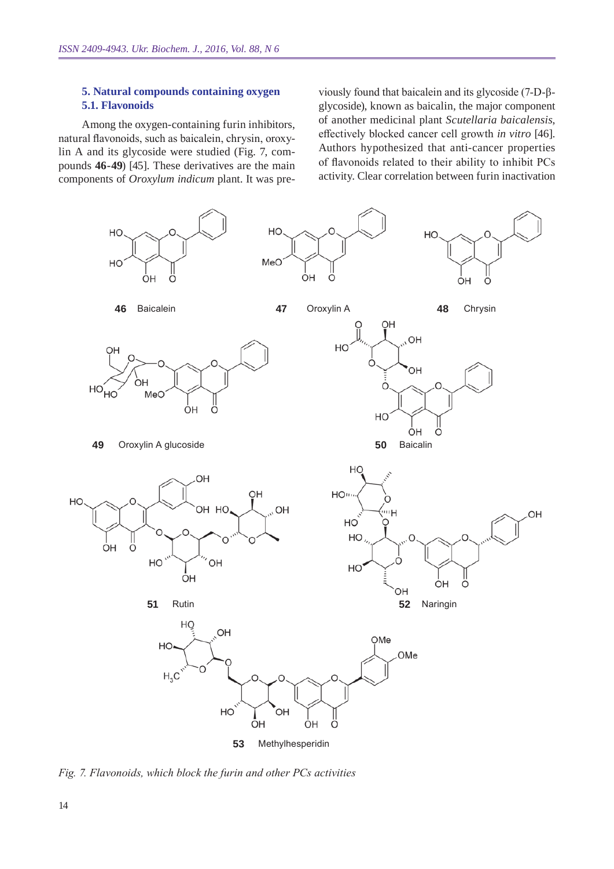#### **5. Natural compounds containing oxygen 5.1. Flavonoids**

Among the oxygen-containing furin inhibitors, natural flavonoids, such as baicalein, chrysin, oroxylin A and its glycoside were studied (Fig. 7, compounds **46-49**) [45]. These derivatives are the main components of *Oroxylum indicum* plant. It was pre-

viously found that baicalein and its glycoside (7-D-βglycoside), known as baicalin, the major component of another medicinal plant *Scutellaria baicalensis*, effectively blocked cancer cell growth *in vitro* [46]. Authors hypothesized that anti-cancer properties of flavonoids related to their ability to inhibit PCs activity. Clear correlation between furin inactivation



*Fig. 7. Flavonoids, which block the furin and other PCs activities*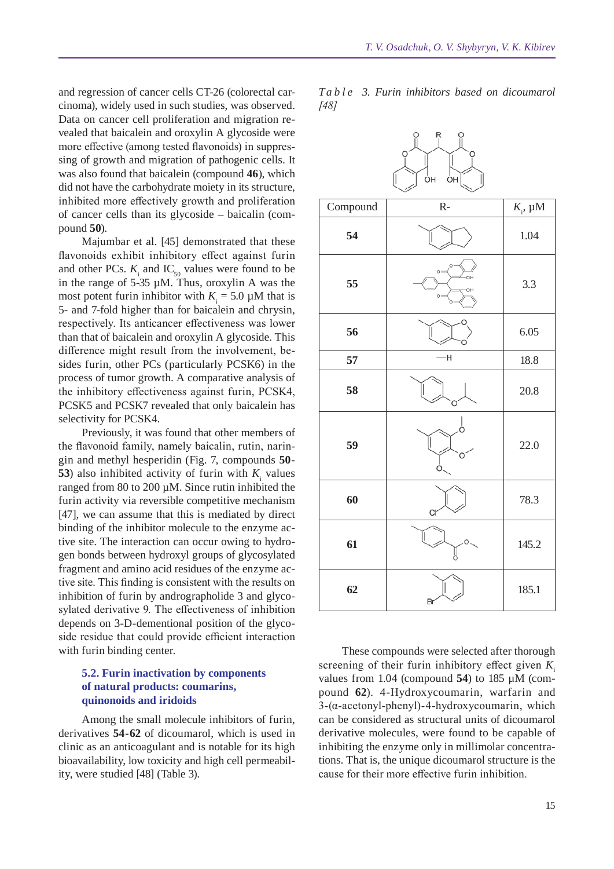and regression of cancer cells CT-26 (colorectal carcinoma), widely used in such studies, was observed. Data on cancer cell proliferation and migration revealed that baicalein and oroxylin A glycoside were more effective (among tested flavonoids) in suppressing of growth and migration of pathogenic cells. It was also found that baicalein (compound **46**), which did not have the carbohydrate moiety in its structure, inhibited more effectively growth and proliferation of cancer cells than its glycoside – baicalin (compound **50**).

Majumbar et al. [45] demonstrated that these flavonoids exhibit inhibitory effect against furin and other PCs.  $K_i$  and IC<sub>50</sub> values were found to be in the range of 5-35 µM. Thus, oroxylin A was the most potent furin inhibitor with  $K_i = 5.0 \mu M$  that is 5- and 7-fold higher than for baicalein and chrysin, respectively. Its anticancer effectiveness was lower than that of baicalein and oroxylin A glycoside. This difference might result from the involvement, besides furin, other PCs (particularly PCSK6) in the process of tumor growth. A comparative analysis of the inhibitory effectiveness against furin, PCSK4, PCSK5 and PCSK7 revealed that only baicalein has selectivity for PCSK4.

Previously, it was found that other members of the flavonoid family, namely baicalin, rutin, naringin and methyl hesperidin (Fig. 7, compounds **50- 53**) also inhibited activity of furin with  $K_i$  values ranged from 80 to 200 µM. Since rutin inhibited the furin activity via reversible competitive mechanism [47], we can assume that this is mediated by direct binding of the inhibitor molecule to the enzyme active site. The interaction can occur owing to hydrogen bonds between hydroxyl groups of glycosylated fragment and amino acid residues of the enzyme active site. This finding is consistent with the results on inhibition of furin by andrographolide 3 and glycosylated derivative 9. The effectiveness of inhibition depends on 3-D-dementional position of the glycoside residue that could provide efficient interaction with furin binding center.

#### **5.2. Furin inactivation by components of natural products: coumarins, quinonoids and iridoids**

Among the small molecule inhibitors of furin, derivatives **54-62** of dicoumarol, which is used in clinic as an anticoagulant and is notable for its high bioavailability, low toxicity and high cell permeability, were studied [48] (Table 3).

*T a b l e 3. Furin inhibitors based on dicoumarol [48]*



These compounds were selected after thorough screening of their furin inhibitory effect given  $K_i$ values from 1.04 (compound **54**) to 185 µM (compound **62**). 4-hydroxycoumarin, warfarin and 3-(α-acetonyl-phenyl)-4-hydroxycoumarin, which can be considered as structural units of dicoumarol derivative molecules, were found to be capable of inhibiting the enzyme only in millimolar concentrations. That is, the unique dicoumarol structure is the cause for their more effective furin inhibition.

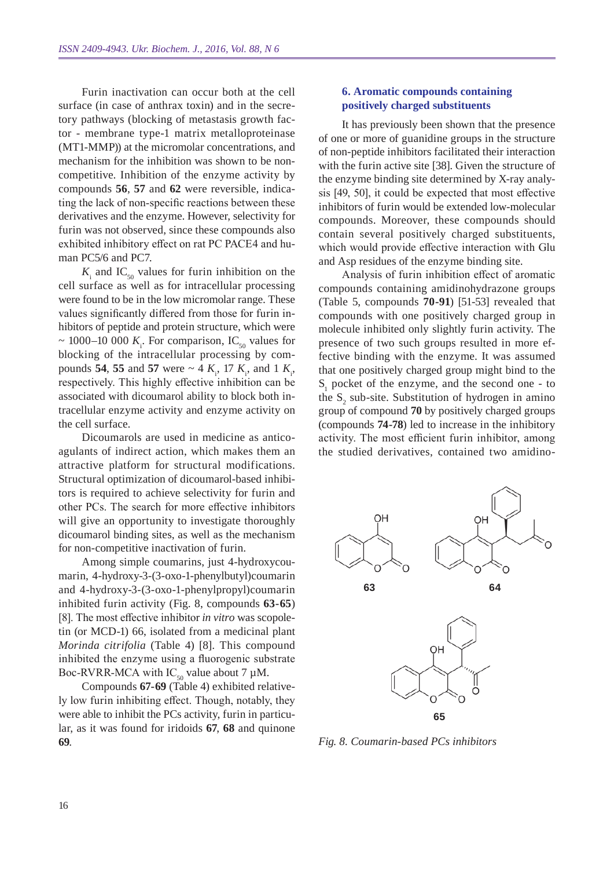Furin inactivation can occur both at the cell surface (in case of anthrax toxin) and in the secretory pathways (blocking of metastasis growth factor - membrane type-1 matrix metalloproteinase (MT1-MMP)) at the micromolar concentrations, and mechanism for the inhibition was shown to be noncompetitive. Inhibition of the enzyme activity by compounds **56**, **57** and **62** were reversible, indicating the lack of non-specific reactions between these derivatives and the enzyme. However, selectivity for furin was not observed, since these compounds also exhibited inhibitory effect on rat PC PACE4 and human PC5/6 and PC7.

 $K<sub>i</sub>$  and IC<sub>50</sub> values for furin inhibition on the cell surface as well as for intracellular processing were found to be in the low micromolar range. These values significantly differed from those for furin inhibitors of peptide and protein structure, which were  $\sim$  1000–10 000  $K_i$ . For comparison, IC<sub>50</sub> values for blocking of the intracellular processing by compounds **54**, **55** and **57** were  $\sim$  4  $K_i$ , 17  $K_i$ , and 1  $K_i$ , respectively. This highly effective inhibition can be associated with dicoumarol ability to block both intracellular enzyme activity and enzyme activity on the cell surface.

Dicoumarols are used in medicine as anticoagulants of indirect action, which makes them an attractive platform for structural modifications. Structural optimization of dicoumarol-based inhibitors is required to achieve selectivity for furin and other PCs. The search for more effective inhibitors will give an opportunity to investigate thoroughly dicoumarol binding sites, as well as the mechanism for non-competitive inactivation of furin.

Among simple coumarins, just 4-hydroxycoumarin, 4-hydroxy-3-(3-oxo-1-phenylbutyl)coumarin and 4-hydroxy-3-(3-oxo-1-phenylpropyl)coumarin inhibited furin activity (Fig. 8, compounds **63-65**) [8]. The most effective inhibitor *in vitro* was scopoletin (or MCD-1) 66, isolated from a medicinal plant *Morinda citrifolia* (Table 4) [8]. This compound inhibited the enzyme using a fluorogenic substrate Boc-RVRR-MCA with  $IC_{50}$  value about 7 µM.

Compounds **67-69** (Table 4) exhibited relatively low furin inhibiting effect. Though, notably, they were able to inhibit the PCs activity, furin in particular, as it was found for iridoids **67**, **68** and quinone **69**.

#### **6. Aromatic compounds containing positively charged substituents**

It has previously been shown that the presence of one or more of guanidine groups in the structure of non-peptide inhibitors facilitated their interaction with the furin active site [38]. Given the structure of the enzyme binding site determined by X-ray analysis [49, 50], it could be expected that most effective inhibitors of furin would be extended low-molecular compounds. Moreover, these compounds should contain several positively charged substituents, which would provide effective interaction with Glu and Asp residues of the enzyme binding site.

Analysis of furin inhibition effect of aromatic compounds containing amidinohydrazone groups (Table 5, compounds **70-91**) [51-53] revealed that compounds with one positively charged group in molecule inhibited only slightly furin activity. The presence of two such groups resulted in more effective binding with the enzyme. It was assumed that one positively charged group might bind to the  $S_1$  pocket of the enzyme, and the second one - to the  $S_2$  sub-site. Substitution of hydrogen in amino group of compound **70** by positively charged groups (compounds **74-78**) led to increase in the inhibitory activity. The most efficient furin inhibitor, among the studied derivatives, contained two amidino-



*Fig. 8. Coumarin-based PCs inhibitors*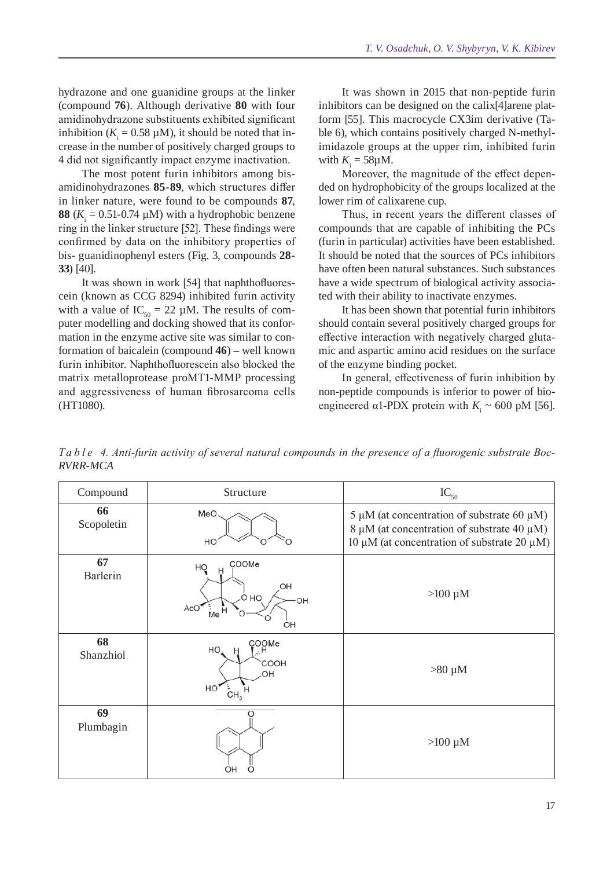hydrazone and one guanidine groups at the linker (compound **76**). Although derivative **80** with four amidinohydrazone substituents exhibited significant inhibition ( $K_i = 0.58 \mu M$ ), it should be noted that increase in the number of positively charged groups to 4 did not significantly impact enzyme inactivation.

The most potent furin inhibitors among bisamidinohydrazones **85-89**, which structures differ in linker nature, were found to be compounds **87**, **88** ( $K_i = 0.51$ -0.74  $\mu$ M) with a hydrophobic benzene ring in the linker structure [52]. These findings were confirmed by data on the inhibitory properties of bis- guanidinophenyl esters (Fig. 3, compounds **28- 33**) [40].

It was shown in work [54] that naphthofluorescein (known as CCG 8294) inhibited furin activity with a value of  $IC_{50} = 22 \mu M$ . The results of computer modelling and docking showed that its conformation in the enzyme active site was similar to conformation of baicalein (compound **46**) – well known furin inhibitor. Naphthofluorescein also blocked the matrix metalloprotease proMT1-MMP processing and aggressiveness of human fibrosarcoma cells (HT1080).

It was shown in 2015 that non-peptide furin inhibitors can be designed on the calix[4]arene platform [55]. This macrocycle CX3im derivative (Table 6), which contains positively charged N-methylimidazole groups at the upper rim, inhibited furin with  $K_i = 58 \mu M$ .

Moreover, the magnitude of the effect depended on hydrophobicity of the groups localized at the lower rim of calixarene cup.

Thus, in recent years the different classes of compounds that are capable of inhibiting the PCs (furin in particular) activities have been established. It should be noted that the sources of PCs inhibitors have often been natural substances. Such substances have a wide spectrum of biological activity associated with their ability to inactivate enzymes.

It has been shown that potential furin inhibitors should contain several positively charged groups for effective interaction with negatively charged glutamic and aspartic amino acid residues on the surface of the enzyme binding pocket.

In general, effectiveness of furin inhibition by non-peptide compounds is inferior to power of bioengineered  $\alpha$ 1-PDX protein with  $K_i \sim 600$  pM [56].

*Table 4. Anti-furin activity of several natural compounds in the presence of a fluorogenic substrate Boc-RVRR -MCA*

| Compound         | Structure                                                                           | $IC_{50}$                                                                                                                                         |
|------------------|-------------------------------------------------------------------------------------|---------------------------------------------------------------------------------------------------------------------------------------------------|
| 66<br>Scopoletin | MeO<br>HO                                                                           | 5 µM (at concentration of substrate 60 µM)<br>$8 \mu M$ (at concentration of substrate 40 $\mu$ M)<br>10 μM (at concentration of substrate 20 μM) |
| 67<br>Barlerin   | COOMe<br>HQ<br>Ĥ<br>HO.<br>O HO<br><b>OH</b><br>AcO <sup>'</sup><br>_<br>Me H<br>OH | $>100 \mu M$                                                                                                                                      |
| 68<br>Shanzhiol  | COOMe<br>L <sub>o</sub> H<br>HO,<br>H<br>COOH<br>OH<br>HO<br>CH <sub>3</sub>        | $>80 \mu M$                                                                                                                                       |
| 69<br>Plumbagin  | OΗ                                                                                  | $>100 \mu M$                                                                                                                                      |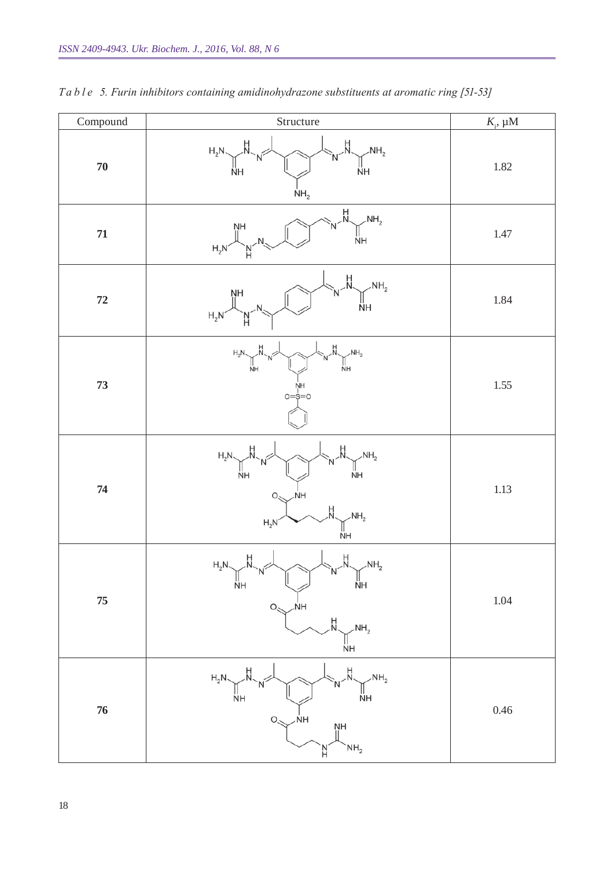| $\operatorname{Compound}$ | Structure                                                                                                                           | $K_i$ , $\mu$ M |
|---------------------------|-------------------------------------------------------------------------------------------------------------------------------------|-----------------|
| $70\,$                    | H.<br>H<br>N<br>$H_2N$<br>NH <sub>2</sub><br>ŇН<br>ÑН<br>NH <sub>2</sub>                                                            | $1.82\,$        |
| ${\bf 71}$                | H<br>NH <sub>2</sub><br>ŅΗ<br>ŃН<br>$H_2N$                                                                                          | $1.47\,$        |
| ${\bf 72}$                | H.<br>NH <sub>2</sub><br>ŅН<br>ÑН<br>$H_2N$                                                                                         | 1.84            |
| 73                        | NH <sub>2</sub><br>$H_2N$<br>NH<br>ÑН<br>ŅH<br>$o=\stackrel{\scriptscriptstyle \textrm{!}}{\scriptscriptstyle \infty}=o$            | $1.55\,$        |
| 74                        | NH <sub>2</sub><br>$H_2N$<br>ŇН<br>ŇН<br>NH<br>O.<br>н<br>NH <sub>2</sub><br>$H_2N$<br>ŃΗ                                           | $1.13\,$        |
| ${\bf 75}$                | Η<br>$H_2N$<br>NH <sub>2</sub><br>ÑН<br>ŇН<br>$\overline{\mathsf{N}}$ H<br>$O_{\leq 1}$<br>H<br>$\mathcal{M}_{2}$<br>Ňн             | $1.04\,$        |
| 76                        | Ĥ<br>$H_2N \searrow H$<br>$\sim$ NH <sub>2</sub><br>$\stackrel{  }{\sf NH}$<br>ŇН<br>ŃH<br>$O_{\leq}$<br>ŅH<br>NH <sub>2</sub><br>H | 0.46            |

*T a b l e 5. Furin inhibitors containing amidinohydrazone substituents at aromatic ring [51-53]*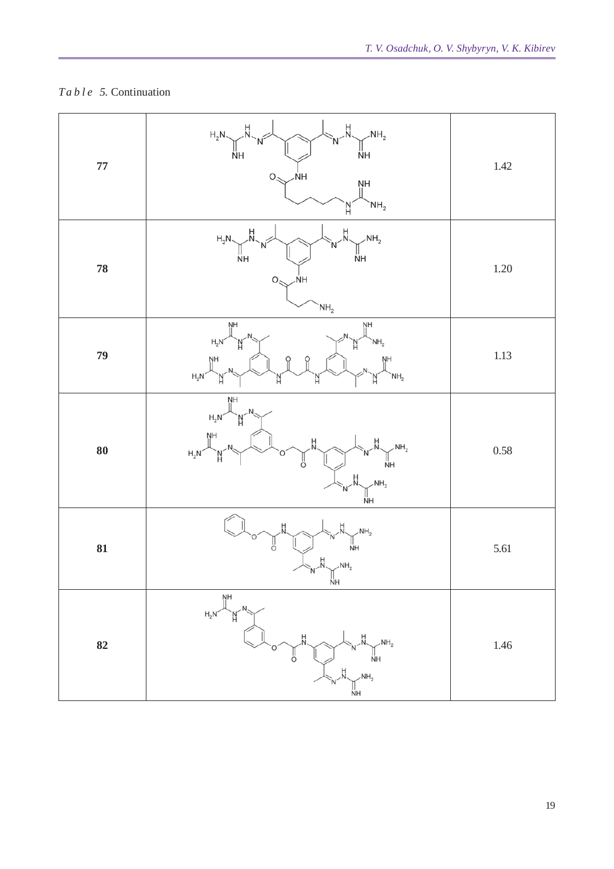# *T a b l e 5.* Continuation

| ${\bf 77}$ | H.<br>H.<br>$H_2N \searrow$<br>$\sim$ NH <sub>2</sub><br>Ñ<br>$\mathbb{I}$ nh<br>ŃН<br>ŃΗ<br>$O_{\leq}$<br>ŅН<br>NH <sub>2</sub>                                             | $1.42\,$ |
|------------|------------------------------------------------------------------------------------------------------------------------------------------------------------------------------|----------|
| ${\bf 78}$ | H<br>۲I<br>N<br>$\sim$ NH <sub>2</sub><br>$H_2N$<br>ÑН<br>ÑΗ<br>$O_{\leq}$<br><b>NH</b><br>NH <sub>2</sub>                                                                   | $1.20\,$ |
| 79         | $\frac{N}{\parallel}$<br>ŅΗ<br>$\begin{array}{c}\n\nwarrow \\ N\text{H}_2 \\ N\text{H} \\ \parallel\n\end{array}$<br>$H_2N$<br>`N´<br>$\frac{N}{\parallel}$<br>$H_2N^2$<br>N | $1.13\,$ |
| ${\bf 80}$ | ŅН<br>$\mathsf{H_2N}^{\scriptscriptstyle\diagup}$<br>`N´<br>NH<br>II<br>$\begin{bmatrix}NH_2\\NH\end{bmatrix}$<br>$H_2N$<br>ΪÄ.<br>ö<br>NH <sub>2</sub><br>ÑН                | $0.58\,$ |
| 81         | NH <sub>2</sub><br>$\frac{11}{N}$ H<br>ő<br>NH <sub>2</sub><br>ŇН                                                                                                            | 5.61     |
| 82         | NH<br>  <br>$H_2N$<br>`N´<br>NH <sub>2</sub><br>$\frac{1}{N}$ H<br>ő<br>NH <sub>2</sub><br><b>ΝH</b>                                                                         | $1.46\,$ |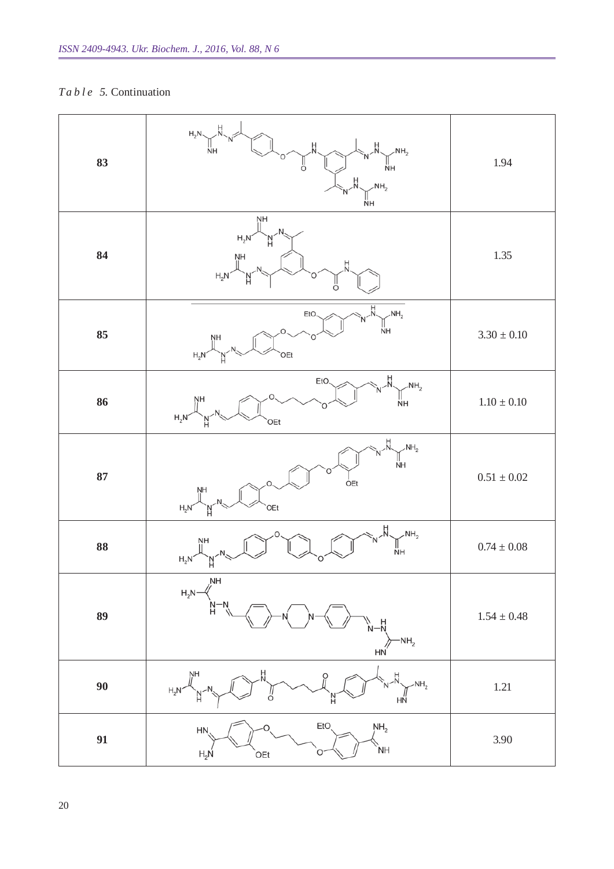# *T a b l e 5.* Continuation

| 83 | $H_2N$ $\overline{N}$ $\overline{N}$<br>$\frac{1}{N}$ $\frac{1}{N}$ $\frac{1}{N+1}$ $\frac{1}{N+2}$ $\frac{1}{N+1}$ $\frac{1}{N+2}$<br><b>NH</b>                                                                                                                                                                                                                                                | 1.94          |
|----|-------------------------------------------------------------------------------------------------------------------------------------------------------------------------------------------------------------------------------------------------------------------------------------------------------------------------------------------------------------------------------------------------|---------------|
| 84 | ŅΗ<br>$H_2N$<br>'Nʻ<br>$H_2N$<br>O                                                                                                                                                                                                                                                                                                                                                              | 1.35          |
| 85 | $\text{NH}_2$<br>NH<br>EtO<br>$H_2N$ <sup>NH</sup><br>`OEt                                                                                                                                                                                                                                                                                                                                      | $3.30\pm0.10$ |
| 86 | $N - N$<br>$N + N$<br>$N + N$<br>EtO<br>$H_{2}N$ $\frac{N}{N}$ $N_{3}$<br>OEt                                                                                                                                                                                                                                                                                                                   | $1.10\pm0.10$ |
| 87 | $\text{NH}_{2}$<br>$\text{NH}_{2}$<br>OEt<br>$\begin{picture}(120,115) \put(0,0){\line(1,0){150}} \put(15,0){\line(1,0){150}} \put(15,0){\line(1,0){150}} \put(15,0){\line(1,0){150}} \put(15,0){\line(1,0){150}} \put(15,0){\line(1,0){150}} \put(15,0){\line(1,0){150}} \put(15,0){\line(1,0){150}} \put(15,0){\line(1,0){150}} \put(15,0){\line(1,0){150}} \put(15,0){\line(1,0){150$<br>OEt | $0.51\pm0.02$ |
| 88 | $\text{NH}_2$<br>NH<br>$H_2N$                                                                                                                                                                                                                                                                                                                                                                   | $0.74\pm0.08$ |
| 89 | NH<br>$H_2N-$<br>N−N<br>H<br>N-N<br>$~\text{NH}_2$<br>HŃ                                                                                                                                                                                                                                                                                                                                        | $1.54\pm0.48$ |
| 90 | NΗ<br>H<br>$-NH2$<br>$H_2N$<br>HN                                                                                                                                                                                                                                                                                                                                                               | $1.21\,$      |
| 91 | EtO<br>NH <sub>2</sub><br>HN<br>ÌΝH<br>$H_2N$<br>OEt                                                                                                                                                                                                                                                                                                                                            | 3.90          |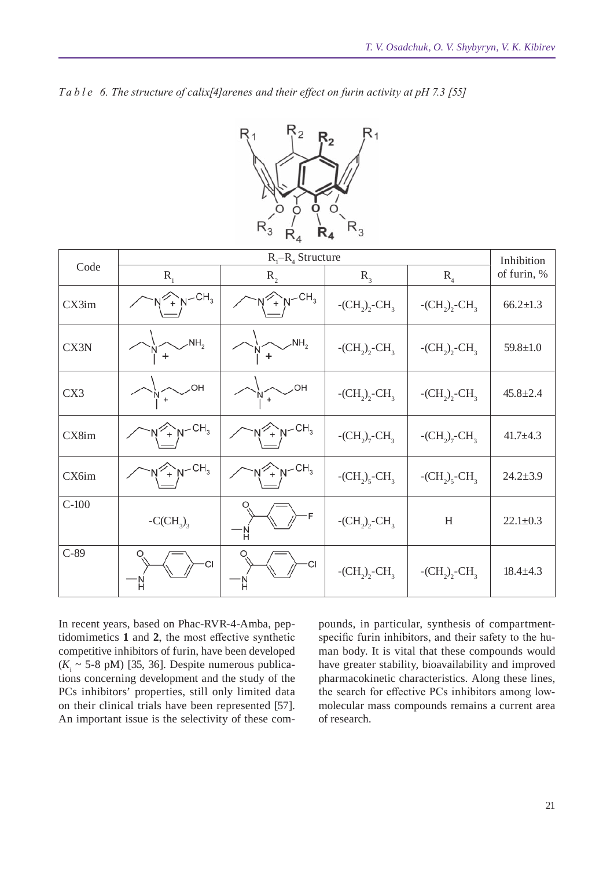| Ta b l e 6. The structure of calix[4] arenes and their effect on furin activity at pH 7.3 [55] |  |  |
|------------------------------------------------------------------------------------------------|--|--|
|------------------------------------------------------------------------------------------------|--|--|



|         | $R_1 - R_4$ Structure                      |                               |                                         |                       | Inhibition     |
|---------|--------------------------------------------|-------------------------------|-----------------------------------------|-----------------------|----------------|
| Code    | $R_{1}$                                    | $R_{2}$                       | $R_{\text{R}}$                          | $R_{4}$               | of furin, %    |
| CX3im   | $Y + N - CH_3$                             | $Y + N - CH_3$                | $-CH_{2}$ , $-CH_{3}$                   | $-CH_{2}$ , $-CH_{3}$ | $66.2 \pm 1.3$ |
| CX3N    | NH <sub>2</sub>                            | NH <sub>2</sub>               | $-CH_{2}$ , $-CH_{3}$                   | $-CH_2$ , $-CH_3$     | $59.8 \pm 1.0$ |
| CX3     | HO.                                        | OH.<br>ŅĨ                     | $-CH_2$ , $-CH_3$                       | $-CH_2$ , $-CH_3$     | $45.8 \pm 2.4$ |
| CX8im   | $\gamma$ <sub>+</sub> $N$ -CH <sub>3</sub> | $Y + N - CH_3$                | $-CH_{2}$ <sub>7</sub> -CH <sub>3</sub> | $-CH_{2}7-CH_{3}$     | $41.7 \pm 4.3$ |
| CX6im   | $\sim_{+}^{N}N-CH_{3}$                     | $\uparrow_N$ -CH <sub>3</sub> | $-CH_2$ <sub>2</sub> -CH <sub>3</sub>   | $-CH_2$ , $-CH_3$     | $24.2 \pm 3.9$ |
| $C-100$ | $-C(CH_3)$                                 | F                             | $-CH_{2}$ , $-CH_{3}$                   | H                     | $22.1 \pm 0.3$ |
| $C-89$  | <b>CI</b>                                  | CI                            | $-CH_2$ , $-CH_3$                       | $-CH_2$ , $-CH_3$     | $18.4 \pm 4.3$ |

In recent years, based on Phac-RVR-4-Amba, peptidomimetics **1** and **2**, the most effective synthetic competitive inhibitors of furin, have been developed  $(K<sub>i</sub> ~ 5-8 \text{ pM})$  [35, 36]. Despite numerous publications concerning development and the study of the PCs inhibitors' properties, still only limited data on their clinical trials have been represented [57]. An important issue is the selectivity of these compounds, in particular, synthesis of compartmentspecific furin inhibitors, and their safety to the human body. It is vital that these compounds would have greater stability, bioavailability and improved pharmacokinetic characteristics. Along these lines, the search for effective PCs inhibitors among lowmolecular mass compounds remains a current area of research.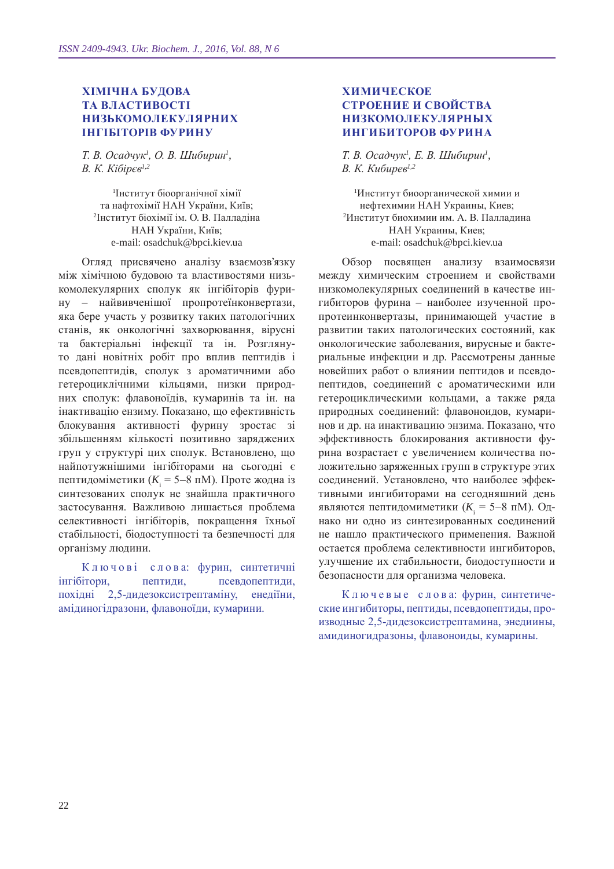### **Хімічна будова та властивості низькомолекулярних інгібіторів фурину**

*Т. В. Осадчук<sup>1</sup> , О. В. Шибирин<sup>1</sup> , В. К. Кібірєв1,2*

1 Інститут біоорганічної хімії та нафтохімії НАН України, Київ; 2 Інститут біохімії ім. О. В. Палладіна НАН України, Київ; e-mail: osadchuk@bpci.kiev.ua

Огляд присвячено аналізу взаємозв'язку між хімічною будовою та властивостями низькомолекулярних сполук як інгібіторів фурину – найвивченішої пропротеїнконвертази, яка бере участь у розвитку таких патологічних станів, як онкологічні захворювання, вірусні та бактеріальні інфекції та ін. Розглянуто дані новітніх робіт про вплив пептидів і псевдопептидів, сполук з ароматичними або гетероциклічними кільцями, низки природних сполук: флавоноїдів, кумаринів та ін. на інактивацію ензиму. Показано, що ефективність блокування активності фурину зростає зі збільшенням кількості позитивно заряджених груп у структурі цих сполук. Встановлено, що найпотужнішими інгібіторами на сьогодні є пептидоміметики ( $K$ <sub>i</sub> = 5–8 пМ). Проте жодна із синтезованих сполук не знайшла практичного застосування. Важливою лишається проблема селективності інгібіторів, покращення їхньої стабільності, біодоступності та безпечності для організму людини.

К л ю ч о в і с л о в а: фурин, синтетичні інгібітори, пептиди, псевдопептиди, похідні 2,5-дидезоксистрептаміну, енедіїни, амідиногідразони, флавоноїди, кумарини.

### **Химическое строение и свойства низкомолекулярных ингибиторов фурина**

*Т. В. Осадчук<sup>1</sup> , Е. В. Шибирин<sup>1</sup> , В. К. Кибирев1,2*

1 Институт биоорганической химии и нефтехимии НАН Украины, Киев; 2 Институт биохимии им. А. В. Палладина НАН Украины, Киев; e-mail: osadchuk@bpci.kiev.ua

Обзор посвящен анализу взаимосвязи между химическим строением и свойствами низкомолекулярных соединений в качестве ингибиторов фурина – наиболее изученной пропротеинконвертазы, принимающей участие в развитии таких патологических состояний, как онкологические заболевания, вирусные и бактериальные инфекции и др. Рассмотрены данные новейших работ о влиянии пептидов и псевдопептидов, соединений с ароматическими или гетероциклическими кольцами, а также ряда природных соединений: флавоноидов, кумаринов и др. на инактивацию энзима. Показано, что эффективность блокирования активности фурина возрастает с увеличением количества положительно заряженных групп в структуре этих соединений. Установлено, что наиболее эффективными ингибиторами на сегодняшний день являются пептидомиметики ( $K$ <sub>i</sub> = 5–8 пM). Однако ни одно из синтезированных соединений не нашло практического применения. Важной остается проблема селективности ингибиторов, улучшение их стабильности, биодоступности и безопасности для организма человека.

К л ю ч е в ы е с л о в а: фурин, синтетические ингибиторы, пептиды, псевдопептиды, производные 2,5-дидезоксистрептамина, энедиины, амидиногидразоны, флавоноиды, кумарины.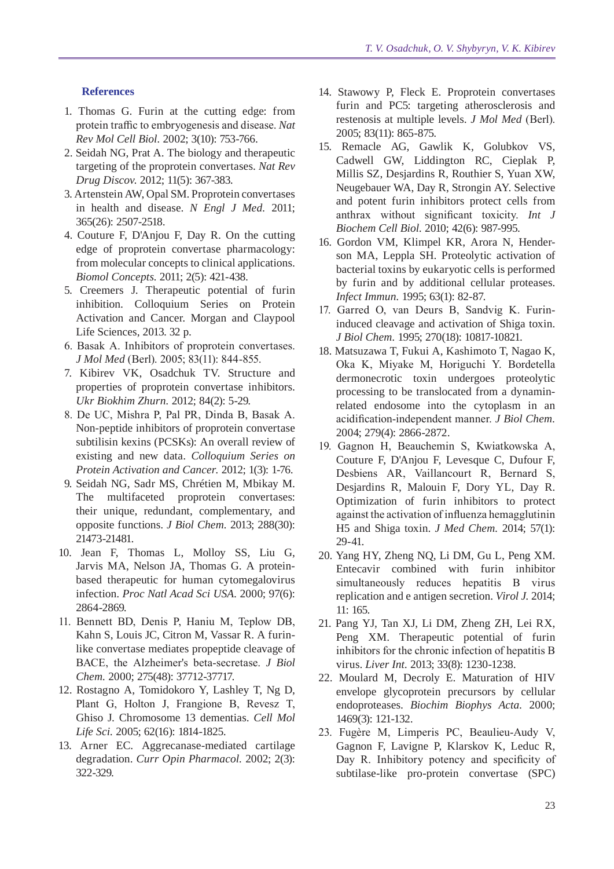#### **References**

- 1. Thomas G. Furin at the cutting edge: from protein traffic to embryogenesis and disease. *Nat Rev Mol Cell Biol.* 2002; 3(10): 753-766.
- 2. Seidah NG, Prat A. The biology and therapeutic targeting of the proprotein convertases. *Nat Rev Drug Discov.* 2012; 11(5): 367-383.
- 3. Artenstein AW, Opal SM. Proprotein convertases in health and disease. *N Engl J Med.* 2011; 365(26): 2507-2518.
- 4. Couture F, D'Anjou F, Day R. On the cutting edge of proprotein convertase pharmacology: from molecular concepts to clinical applications. *Biomol Concepts.* 2011; 2(5): 421-438.
- 5. Creemers J. Therapeutic potential of furin inhibition. Colloquium Series on Protein Activation and Cancer. Morgan and Claypool Life Sciences, 2013. 32 p.
- 6. Basak A. Inhibitors of proprotein convertases. *J Mol Med* (Berl). 2005; 83(11): 844-855.
- 7. Kibirev VK, Osadchuk TV. Structure and properties of proprotein convertase inhibitors. *Ukr Biokhim Zhurn.* 2012; 84(2): 5-29.
- 8. De UC, Mishra P, Pal PR, Dinda B, Basak A. Non-peptide inhibitors of proprotein convertase subtilisin kexins (PCSKs): An overall review of existing and new data. *Colloquium Series on Protein Activation and Cancer.* 2012; 1(3): 1-76.
- 9. Seidah NG, Sadr MS, Chrétien M, Mbikay M. The multifaceted proprotein convertases: their unique, redundant, complementary, and opposite functions. *J Biol Chem.* 2013; 288(30): 21473-21481.
- 10. Jean F, Thomas L, Molloy SS, Liu G, Jarvis MA, Nelson JA, Thomas G. A proteinbased therapeutic for human cytomegalovirus infection. *Proc Natl Acad Sci USA.* 2000; 97(6): 2864-2869.
- 11. Bennett BD, Denis P, Haniu M, Teplow DB, Kahn S, Louis JC, Citron M, Vassar R. A furinlike convertase mediates propeptide cleavage of BACE, the Alzheimer's beta-secretase. *J Biol Chem.* 2000; 275(48): 37712-37717.
- 12. Rostagno A, Tomidokoro Y, Lashley T, Ng D, Plant G, Holton J, Frangione B, Revesz T, Ghiso J. Chromosome 13 dementias. *Cell Mol Life Sci.* 2005; 62(16): 1814-1825.
- 13. Arner EC. Aggrecanase-mediated cartilage degradation. *Curr Opin Pharmacol.* 2002; 2(3): 322-329.
- 14. Stawowy P, Fleck E. Proprotein convertases furin and PC5: targeting atherosclerosis and restenosis at multiple levels. *J Mol Med* (Berl). 2005; 83(11): 865-875.
- 15. Remacle AG, Gawlik K, Golubkov VS, Cadwell GW, Liddington RC, Cieplak P, Millis SZ, Desjardins R, Routhier S, Yuan XW, Neugebauer WA, Day R, Strongin AY. Selective and potent furin inhibitors protect cells from anthrax without significant toxicity. *Int J Biochem Cell Biol.* 2010; 42(6): 987-995.
- 16. Gordon VM, Klimpel KR, Arora N, Henderson MA, Leppla SH. Proteolytic activation of bacterial toxins by eukaryotic cells is performed by furin and by additional cellular proteases. *Infect Immun.* 1995; 63(1): 82-87.
- 17. Garred O, van Deurs B, Sandvig K. Furininduced cleavage and activation of Shiga toxin. *J Biol Chem.* 1995; 270(18): 10817-10821.
- 18. Matsuzawa T, Fukui A, Kashimoto T, Nagao K, Oka K, Miyake M, Horiguchi Y. Bordetella dermonecrotic toxin undergoes proteolytic processing to be translocated from a dynaminrelated endosome into the cytoplasm in an acidification-independent manner. *J Biol Chem.*  2004; 279(4): 2866-2872.
- 19. Gagnon H, Beauchemin S, Kwiatkowska A, Couture F, D'Anjou F, Levesque C, Dufour F, Desbiens AR, Vaillancourt R, Bernard S, Desjardins R, Malouin F, Dory YL, Day R. Optimization of furin inhibitors to protect against the activation of influenza hemagglutinin H5 and Shiga toxin. *J Med Chem.* 2014; 57(1): 29-41.
- 20. Yang HY, Zheng NQ, Li DM, Gu L, Peng XM. Entecavir combined with furin inhibitor simultaneously reduces hepatitis B virus replication and e antigen secretion. *Virol J.* 2014; 11: 165.
- 21. Pang YJ, Tan XJ, Li DM, Zheng ZH, Lei RX, Peng XM. Therapeutic potential of furin inhibitors for the chronic infection of hepatitis B virus. *Liver Int.* 2013; 33(8): 1230-1238.
- 22. Moulard M, Decroly E. Maturation of HIV envelope glycoprotein precursors by cellular endoproteases. *Biochim Biophys Acta.* 2000; 1469(3): 121-132.
- 23. Fugère M, Limperis PC, Beaulieu-Audy V, Gagnon F, Lavigne P, Klarskov K, Leduc R, Day R. Inhibitory potency and specificity of subtilase-like pro-protein convertase (SPC)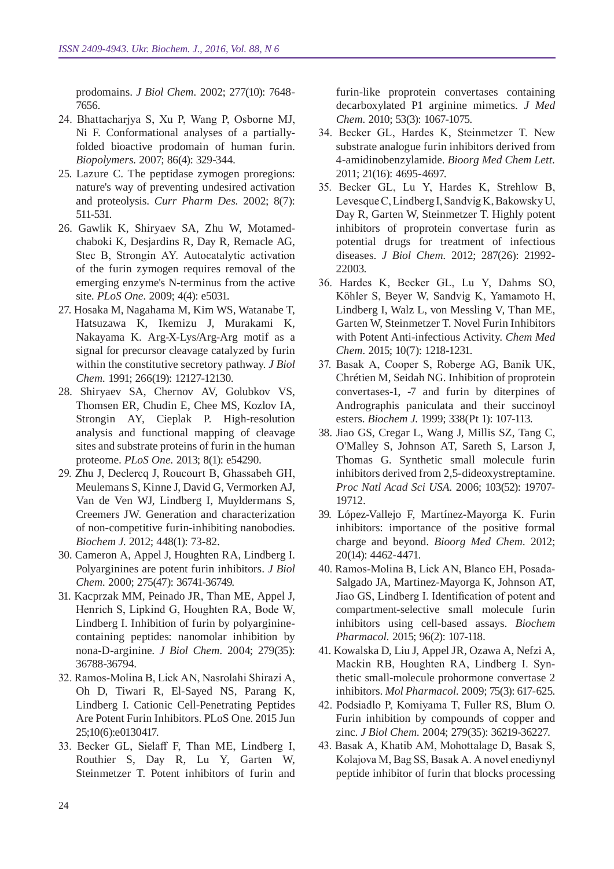prodomains. *J Biol Chem.* 2002; 277(10): 7648- 7656.

- 24. Bhattacharjya S, Xu P, Wang P, Osborne MJ, Ni F. Conformational analyses of a partiallyfolded bioactive prodomain of human furin. *Biopolymers.* 2007; 86(4): 329-344.
- 25. Lazure C. The peptidase zymogen proregions: nature's way of preventing undesired activation and proteolysis. *Curr Pharm Des.* 2002; 8(7): 511-531.
- 26. Gawlik K, Shiryaev SA, Zhu W, Motamedchaboki K, Desjardins R, Day R, Remacle AG, Stec B, Strongin AY. Autocatalytic activation of the furin zymogen requires removal of the emerging enzyme's N-terminus from the active site. *PLoS One.* 2009; 4(4): e5031.
- 27. Hosaka M, Nagahama M, Kim WS, Watanabe T, Hatsuzawa K, Ikemizu J, Murakami K, Nakayama K. Arg-X-Lys/Arg-Arg motif as a signal for precursor cleavage catalyzed by furin within the constitutive secretory pathway. *J Biol Chem.* 1991; 266(19): 12127-12130.
- 28. Shiryaev SA, Chernov AV, Golubkov VS, Thomsen ER, Chudin E, Chee MS, Kozlov IA, Strongin AY, Cieplak P. High-resolution analysis and functional mapping of cleavage sites and substrate proteins of furin in the human proteome. *PLoS One.* 2013; 8(1): e54290.
- 29. Zhu J, Declercq J, Roucourt B, Ghassabeh GH, Meulemans S, Kinne J, David G, Vermorken AJ, Van de Ven WJ, Lindberg I, Muyldermans S, Creemers JW. Generation and characterization of non-competitive furin-inhibiting nanobodies. *Biochem J.* 2012; 448(1): 73-82.
- 30. Cameron A, Appel J, Houghten RA, Lindberg I. Polyarginines are potent furin inhibitors. *J Biol Chem.* 2000; 275(47): 36741-36749.
- 31. Kacprzak MM, Peinado JR, Than ME, Appel J, Henrich S, Lipkind G, Houghten RA, Bode W, Lindberg I. Inhibition of furin by polyargininecontaining peptides: nanomolar inhibition by nona-D-arginine. *J Biol Chem.* 2004; 279(35): 36788-36794.
- 32. Ramos-Molina B, Lick AN, Nasrolahi Shirazi A, Oh D, Tiwari R, El-Sayed NS, Parang K, Lindberg I. Cationic Cell-Penetrating Peptides Are Potent Furin Inhibitors. PLoS One. 2015 Jun 25;10(6):e0130417.
- 33. Becker GL, Sielaff F, Than ME, Lindberg I, Routhier S, Day R, Lu Y, Garten W, Steinmetzer T. Potent inhibitors of furin and

furin-like proprotein convertases containing decarboxylated P1 arginine mimetics. *J Med Chem.* 2010; 53(3): 1067-1075.

- 34. Becker GL, Hardes K, Steinmetzer T. New substrate analogue furin inhibitors derived from 4-amidinobenzylamide. *Bioorg Med Chem Lett.*  2011; 21(16): 4695-4697.
- 35. Becker GL, Lu Y, Hardes K, Strehlow B, LevesqueC, Lindberg I, Sandvig K, BakowskyU, Day R, Garten W, Steinmetzer T. Highly potent inhibitors of proprotein convertase furin as potential drugs for treatment of infectious diseases. *J Biol Chem.* 2012; 287(26): 21992- 22003.
- 36. Hardes K, Becker GL, Lu Y, Dahms SO, Köhler S, Beyer W, Sandvig K, Yamamoto H, Lindberg I, Walz L, von Messling V, Than ME, Garten W, Steinmetzer T. Novel Furin Inhibitors with Potent Anti-infectious Activity. *Chem Med Chem.* 2015; 10(7): 1218-1231.
- 37. Basak A, Cooper S, Roberge AG, Banik UK, Chrétien M, Seidah NG. Inhibition of proprotein convertases-1, -7 and furin by diterpines of Andrographis paniculata and their succinoyl esters. *Biochem J.* 1999; 338(Pt 1): 107-113.
- 38. Jiao GS, Cregar L, Wang J, Millis SZ, Tang C, O'Malley S, Johnson AT, Sareth S, Larson J, Thomas G. Synthetic small molecule furin inhibitors derived from 2,5-dideoxystreptamine. *Proc Natl Acad Sci USA.* 2006; 103(52): 19707- 19712.
- 39. López-Vallejo F, Martínez-Mayorga K. Furin inhibitors: importance of the positive formal charge and beyond. *Bioorg Med Chem.* 2012; 20(14): 4462-4471.
- 40. Ramos-Molina B, Lick AN, Blanco EH, Posada-Salgado JA, Martinez-Mayorga K, Johnson AT, Jiao GS, Lindberg I. Identification of potent and compartment-selective small molecule furin inhibitors using cell-based assays. *Biochem Pharmacol.* 2015; 96(2): 107-118.
- 41. Kowalska D, Liu J, Appel JR, Ozawa A, Nefzi A, Mackin RB, Houghten RA, Lindberg I. Synthetic small-molecule prohormone convertase 2 inhibitors. *Mol Pharmacol.* 2009; 75(3): 617-625.
- 42. Podsiadlo P, Komiyama T, Fuller RS, Blum O. Furin inhibition by compounds of copper and zinc. *J Biol Chem.* 2004; 279(35): 36219-36227.
- 43. Basak A, Khatib AM, Mohottalage D, Basak S, Kolajova M, Bag SS, Basak A. A novel enediynyl peptide inhibitor of furin that blocks processing